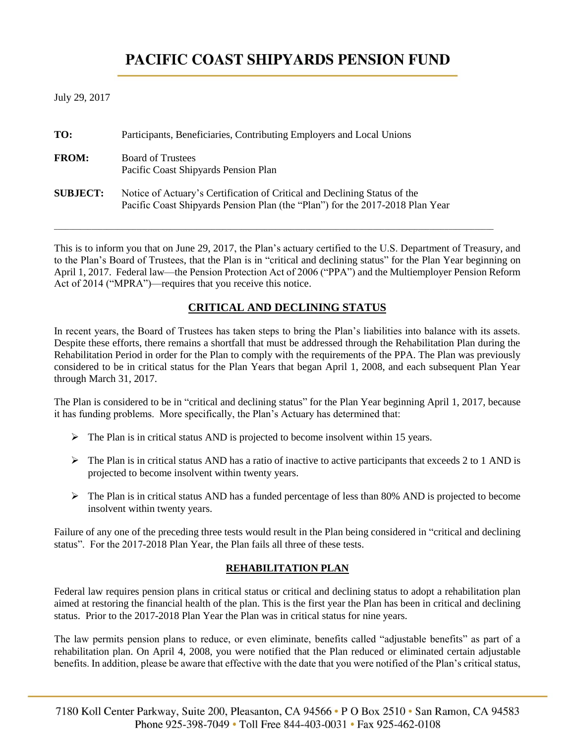# **PACIFIC COAST SHIPYARDS PENSION FUND**

July 29, 2017

| TO:             | Participants, Beneficiaries, Contributing Employers and Local Unions                                                                                       |
|-----------------|------------------------------------------------------------------------------------------------------------------------------------------------------------|
| <b>FROM:</b>    | <b>Board of Trustees</b><br>Pacific Coast Shipyards Pension Plan                                                                                           |
| <b>SUBJECT:</b> | Notice of Actuary's Certification of Critical and Declining Status of the<br>Pacific Coast Shipyards Pension Plan (the "Plan") for the 2017-2018 Plan Year |

This is to inform you that on June 29, 2017, the Plan's actuary certified to the U.S. Department of Treasury, and to the Plan's Board of Trustees, that the Plan is in "critical and declining status" for the Plan Year beginning on April 1, 2017. Federal law—the Pension Protection Act of 2006 ("PPA") and the Multiemployer Pension Reform Act of 2014 ("MPRA")—requires that you receive this notice.

 $\_$  ,  $\_$  ,  $\_$  ,  $\_$  ,  $\_$  ,  $\_$  ,  $\_$  ,  $\_$  ,  $\_$  ,  $\_$  ,  $\_$  ,  $\_$  ,  $\_$  ,  $\_$  ,  $\_$  ,  $\_$  ,  $\_$  ,  $\_$  ,  $\_$  ,  $\_$  ,  $\_$  ,  $\_$  ,  $\_$  ,  $\_$  ,  $\_$  ,  $\_$  ,  $\_$  ,  $\_$  ,  $\_$  ,  $\_$  ,  $\_$  ,  $\_$  ,  $\_$  ,  $\_$  ,  $\_$  ,  $\_$  ,  $\_$  ,

## **CRITICAL AND DECLINING STATUS**

In recent years, the Board of Trustees has taken steps to bring the Plan's liabilities into balance with its assets. Despite these efforts, there remains a shortfall that must be addressed through the Rehabilitation Plan during the Rehabilitation Period in order for the Plan to comply with the requirements of the PPA. The Plan was previously considered to be in critical status for the Plan Years that began April 1, 2008, and each subsequent Plan Year through March 31, 2017.

The Plan is considered to be in "critical and declining status" for the Plan Year beginning April 1, 2017, because it has funding problems. More specifically, the Plan's Actuary has determined that:

- $\triangleright$  The Plan is in critical status AND is projected to become insolvent within 15 years.
- $\triangleright$  The Plan is in critical status AND has a ratio of inactive to active participants that exceeds 2 to 1 AND is projected to become insolvent within twenty years.
- ➢ The Plan is in critical status AND has a funded percentage of less than 80% AND is projected to become insolvent within twenty years.

Failure of any one of the preceding three tests would result in the Plan being considered in "critical and declining status". For the 2017-2018 Plan Year, the Plan fails all three of these tests.

### **REHABILITATION PLAN**

Federal law requires pension plans in critical status or critical and declining status to adopt a rehabilitation plan aimed at restoring the financial health of the plan. This is the first year the Plan has been in critical and declining status. Prior to the 2017-2018 Plan Year the Plan was in critical status for nine years.

The law permits pension plans to reduce, or even eliminate, benefits called "adjustable benefits" as part of a rehabilitation plan. On April 4, 2008, you were notified that the Plan reduced or eliminated certain adjustable benefits. In addition, please be aware that effective with the date that you were notified of the Plan's critical status,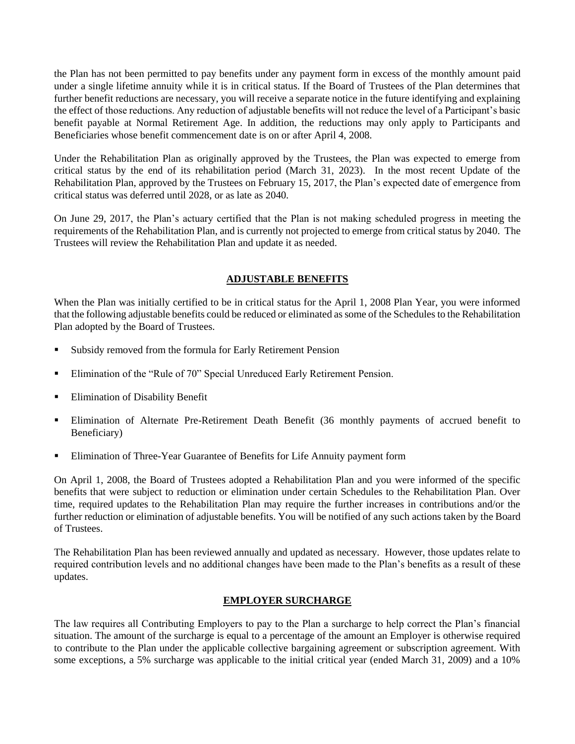the Plan has not been permitted to pay benefits under any payment form in excess of the monthly amount paid under a single lifetime annuity while it is in critical status. If the Board of Trustees of the Plan determines that further benefit reductions are necessary, you will receive a separate notice in the future identifying and explaining the effect of those reductions. Any reduction of adjustable benefits will not reduce the level of a Participant's basic benefit payable at Normal Retirement Age. In addition, the reductions may only apply to Participants and Beneficiaries whose benefit commencement date is on or after April 4, 2008.

Under the Rehabilitation Plan as originally approved by the Trustees, the Plan was expected to emerge from critical status by the end of its rehabilitation period (March 31, 2023). In the most recent Update of the Rehabilitation Plan, approved by the Trustees on February 15, 2017, the Plan's expected date of emergence from critical status was deferred until 2028, or as late as 2040.

On June 29, 2017, the Plan's actuary certified that the Plan is not making scheduled progress in meeting the requirements of the Rehabilitation Plan, and is currently not projected to emerge from critical status by 2040. The Trustees will review the Rehabilitation Plan and update it as needed.

## **ADJUSTABLE BENEFITS**

When the Plan was initially certified to be in critical status for the April 1, 2008 Plan Year, you were informed that the following adjustable benefits could be reduced or eliminated as some of the Schedules to the Rehabilitation Plan adopted by the Board of Trustees.

- Subsidy removed from the formula for Early Retirement Pension
- **Elimination of the "Rule of 70" Special Unreduced Early Retirement Pension.**
- **Elimination of Disability Benefit**
- **Elimination of Alternate Pre-Retirement Death Benefit (36 monthly payments of accrued benefit to** Beneficiary)
- Elimination of Three-Year Guarantee of Benefits for Life Annuity payment form

On April 1, 2008, the Board of Trustees adopted a Rehabilitation Plan and you were informed of the specific benefits that were subject to reduction or elimination under certain Schedules to the Rehabilitation Plan. Over time, required updates to the Rehabilitation Plan may require the further increases in contributions and/or the further reduction or elimination of adjustable benefits. You will be notified of any such actions taken by the Board of Trustees.

The Rehabilitation Plan has been reviewed annually and updated as necessary. However, those updates relate to required contribution levels and no additional changes have been made to the Plan's benefits as a result of these updates.

#### **EMPLOYER SURCHARGE**

The law requires all Contributing Employers to pay to the Plan a surcharge to help correct the Plan's financial situation. The amount of the surcharge is equal to a percentage of the amount an Employer is otherwise required to contribute to the Plan under the applicable collective bargaining agreement or subscription agreement. With some exceptions, a 5% surcharge was applicable to the initial critical year (ended March 31, 2009) and a 10%